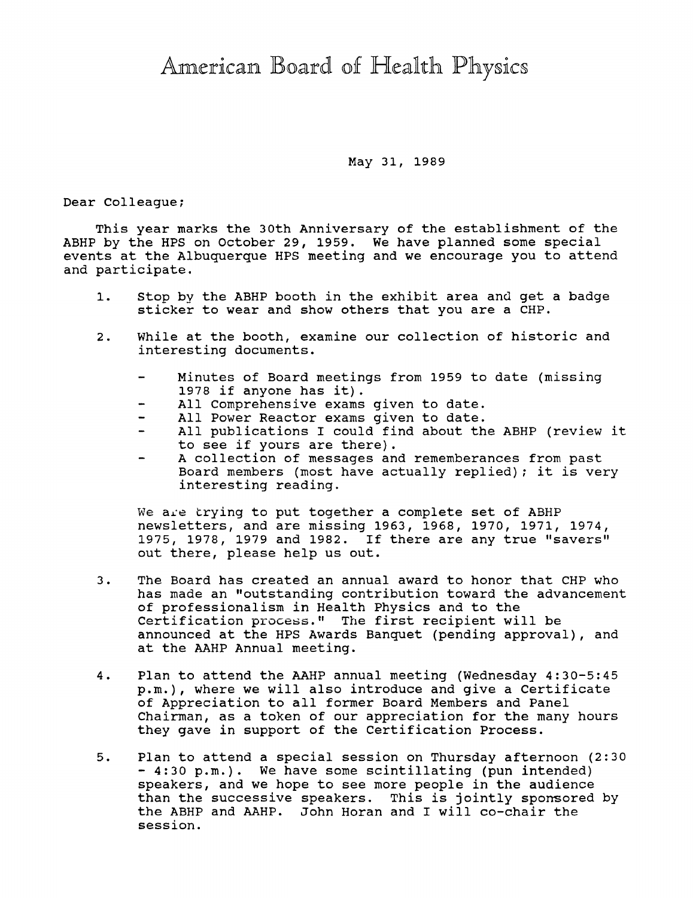## American Board of Health Physics

## May 31, 1989

Dear Colleague;

This year marks the 30th Anniversary of the establishment of the ABHP by the HPS on October 29, 1959. We have planned some special events at the Albuquerque HPS meeting and we encourage you to attend and participate.

- 1. Stop bv the ABHP booth in the exhibit area and get a badge sticker to wear and show others that you are a CHP.
- 2. While at the booth, examine our collection of historic and interesting documents.
	- Minutes of Board meetings from 1959 to date (missing 1978 if anyone has it).
	- All Comprehensive exams given to date.
	- All Power Reactor exams given to date.
	- $\overline{\phantom{0}}$ All publications I could find about the ABHP (review it to see if yours are there).
	- A collection of messages and rememberances from past Board members (most have actually replied); it is very interesting reading.

We are trying to put together a complete set of ABHP newsletters, and are missing 1963, 1968, 1970, 1971, 1974, 1975, 1978, 1979 and 1982. If there are any true "savers" out there, please help us out.

- 3. The Board has created an annual award to honor that CHP who has made an "outstanding contribution toward the advancement of professionalism in Health Physics and to the Certification process." The first recipient will be announced at the HPS Awards Banquet (pending approval), and at the AAHP Annual meeting.
- 4. Plan to attend the AAHP annual meeting (Wednesday 4:30-5:45 p.m.), where we will also introduce and give a Certificate of Appreciation to all former Board Members and Panel Chairman, as a token of our appreciation for the many hours they gave in support of the Certification Process.
- 5. Plan to attend a special session on Thursday afternoon (2:30 - 4:30 p.m.). We have some scintillating (pun intended) speakers, and we hope to see more people in the audience than the successive speakers. This is jointly sponsored by the ABHP and AAHP. John Horan and I will co-chair the session.